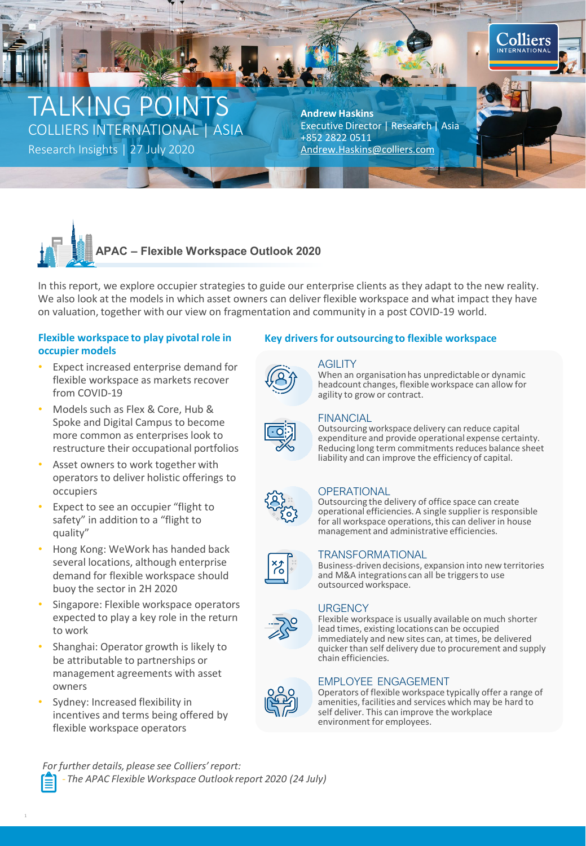# LKING POINTS COLLIERS INTERNATIONAL | ASIA

Research Insights | 27 July 2020 [Andrew.Haskins@colliers.com](mailto:Andrew.Haskins@colliers.com)

**Andrew Haskins** Executive Director | Research | Asia +852 2822 0511

**Colliers** 



In this report, we explore occupier strategies to guide our enterprise clients as they adapt to the new reality. We also look at the models in which asset owners can deliver flexible workspace and what impact they have on valuation, together with our view on fragmentation and community in a post COVID-19 world.

# **occupier models**

- Expect increased enterprise demand for flexible workspace as markets recover from COVID-19
- Models such as Flex & Core, Hub & Spoke and Digital Campus to become more common as enterprises look to restructure their occupational portfolios
- Asset owners to work together with operators to deliver holistic offerings to occupiers
- Expect to see an occupier "flight to safety" in addition to a "flight to quality"
- Hong Kong: WeWork has handed back several locations, although enterprise demand for flexible workspace should buoy the sector in 2H 2020
- Singapore: Flexible workspace operators expected to play a key role in the return to work
- Shanghai: Operator growth is likely to be attributable to partnerships or management agreements with asset owners
- Sydney: Increased flexibility in incentives and terms being offered by flexible workspace operators

# Flexible workspace to play pivotal role in Key drivers for outsourcing to flexible workspace



# **AGILITY**

When an organisation has unpredictable or dynamic headcount changes, flexible workspace can allow for agility to grow or contract.



# FINANCIAL

Outsourcing workspace delivery can reduce capital expenditure and provide operational expense certainty. Reducing long term commitments reduces balance sheet liability and can improve the efficiency of capital.



### **OPERATIONAL**

Outsourcing the delivery of office space can create operational efficiencies. A single supplier is responsible for all workspace operations, this can deliver in house management and administrative efficiencies.



#### TRANSFORMATIONAL

Business-driven decisions, expansion into new territories and M&A integrations can all be triggers to use outsourced workspace.



#### **URGENCY**

Flexible workspace is usually available on much shorter lead times, existing locations can be occupied immediately and new sites can, at times, be delivered quicker than self delivery due to procurement and supply chain efficiencies.



Operators of flexible workspace typically offer a range of amenities, facilities and services which may be hard to self deliver. This can improve the workplace environment for employees.

*[For](http://flexiblespace.colliers.com/) further details, please see Colliers' report:* - *The APAC Flexible Workspace Outlook report 2020 (24 July)*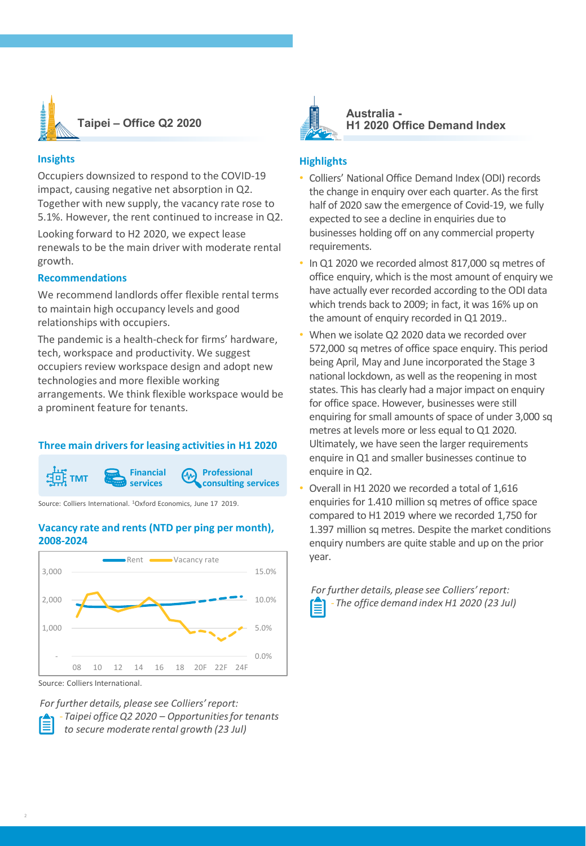

### **Insights**

Occupiers downsized to respond to the COVID-19 impact, causing negative net absorption in Q2. Together with new supply, the vacancy rate rose to 5.1%. However, the rent continued to increase in Q2.

Looking forward to H2 2020, we expect lease renewals to be the main driver with moderate rental growth.

### **Recommendations**

We recommend landlords offer flexible rental terms to maintain high occupancy levels and good relationships with occupiers.

The pandemic is a health-check for firms' hardware, tech, workspace and productivity. We suggest occupiers review workspace design and adopt new technologies and more flexible working arrangements. We think flexible workspace would be a prominent feature for tenants.

# **Three main drivers for leasing activities in H1 2020**



Source: Colliers International. <sup>1</sup>Oxford Economics, June 17 2019.

#### **Vacancy rate and rents (NTD per ping per month), 2008-2024**



Source: Colliers International.

*For further details, please see Colliers' report:* - *Taipei office Q2 2020 – Opportunities for tenants to secure moderate rental growth (23 Jul)*



**Australia - H1 2020 Office Demand Index**

#### **Highlights**

- Colliers' National Office Demand Index (ODI) records the change in enquiry over each quarter. As the first half of 2020 saw the emergence of Covid-19, we fully expected to see a decline in enquiries due to businesses holding off on any commercial property requirements.
- In Q1 2020 we recorded almost 817,000 sq metres of office enquiry, which is the most amount of enquiry we have actually ever recorded according to the ODI data which trends back to 2009; in fact, it was 16% up on the amount of enquiry recorded in Q1 2019..
- When we isolate Q2 2020 data we recorded over 572,000 sq metres of office space enquiry. This period being April, May and June incorporated the Stage 3 national lockdown, as well as the reopening in most states. This has clearly had a major impact on enquiry for office space. However, businesses were still enquiring for small amounts of space of under 3,000 sq metres at levels more or less equal to Q1 2020. Ultimately, we have seen the larger requirements enquire in Q1 and smaller businesses continue to enquire in Q2.
- Overall in H1 2020 we recorded a total of 1,616 enquiries for 1.410 million sq metres of office space compared to H1 2019 where we recorded 1,750 for 1.397 million sq metres. Despite the market conditions enquiry numbers are quite stable and up on the prior year.

*For further details, please see Colliers' report:* - *The office demand index H1 2020 (23 Jul)*